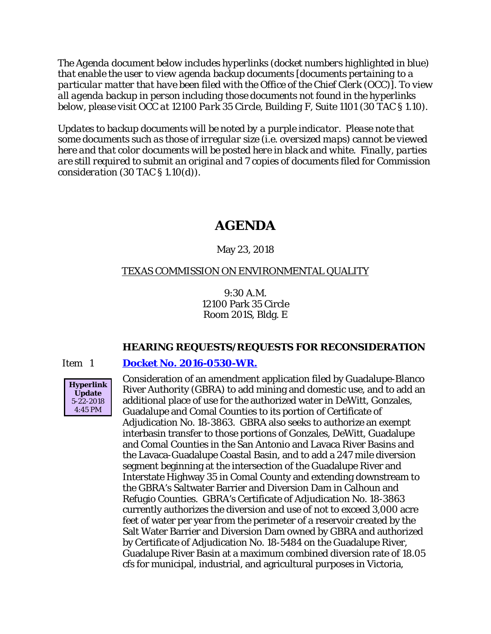*The Agenda document below includes hyperlinks (docket numbers highlighted in blue) that enable the user to view agenda backup documents [documents pertaining to a particular matter that have been filed with the Office of the Chief Clerk (OCC)]. To view all agenda backup in person including those documents not found in the hyperlinks below, please visit OCC at 12100 Park 35 Circle, Building F, Suite 1101 (30 TAC § 1.10).*

*Updates to backup documents will be noted by a purple indicator. Please note that some documents such as those of irregular size (i.e. oversized maps) cannot be viewed here and that color documents will be posted here in black and white. Finally, parties are still required to submit an original and 7 copies of documents filed for Commission consideration (30 TAC § 1.10(d)).*

# **AGENDA**

### May 23, 2018

#### TEXAS COMMISSION ON ENVIRONMENTAL QUALITY

9:30 A.M. 12100 Park 35 Circle Room 201S, Bldg. E

#### **HEARING REQUESTS/REQUESTS FOR RECONSIDERATION**

#### Item 1 **[Docket No. 2016-0530-WR.](http://www.tceq.texas.gov/assets/public/comm_exec/agendas/comm/backup/Agendas/2018/05-23-2018/gbra.pdf)**



Consideration of an amendment application filed by Guadalupe-Blanco River Authority (GBRA) to add mining and domestic use, and to add an additional place of use for the authorized water in DeWitt, Gonzales, Guadalupe and Comal Counties to its portion of Certificate of Adjudication No. 18-3863. GBRA also seeks to authorize an exempt interbasin transfer to those portions of Gonzales, DeWitt, Guadalupe and Comal Counties in the San Antonio and Lavaca River Basins and the Lavaca-Guadalupe Coastal Basin, and to add a 247 mile diversion segment beginning at the intersection of the Guadalupe River and Interstate Highway 35 in Comal County and extending downstream to the GBRA's Saltwater Barrier and Diversion Dam in Calhoun and Refugio Counties. GBRA's Certificate of Adjudication No. 18-3863 currently authorizes the diversion and use of not to exceed 3,000 acre feet of water per year from the perimeter of a reservoir created by the Salt Water Barrier and Diversion Dam owned by GBRA and authorized by Certificate of Adjudication No. 18-5484 on the Guadalupe River, Guadalupe River Basin at a maximum combined diversion rate of 18.05 cfs for municipal, industrial, and agricultural purposes in Victoria,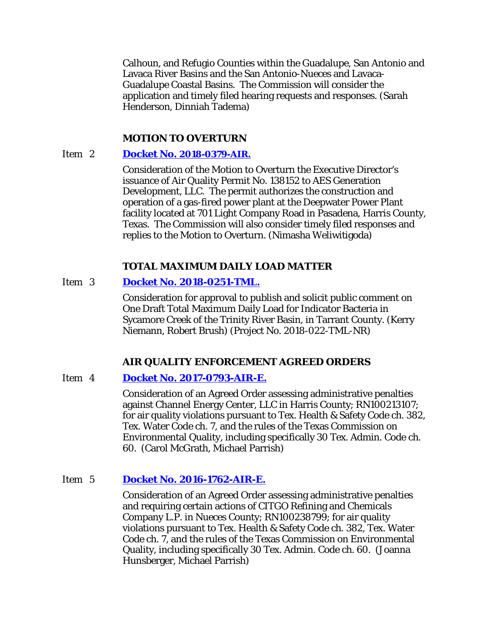Calhoun, and Refugio Counties within the Guadalupe, San Antonio and Lavaca River Basins and the San Antonio-Nueces and Lavaca-Guadalupe Coastal Basins. The Commission will consider the application and timely filed hearing requests and responses. (Sarah Henderson, Dinniah Tadema)

### **MOTION TO OVERTURN**

#### Item 2 **[Docket No. 2018-0379-AIR.](http://www.tceq.texas.gov/assets/public/comm_exec/agendas/comm/backup/Agendas/2018/05-23-2018/aes.pdf)**

Consideration of the Motion to Overturn the Executive Director's issuance of Air Quality Permit No. 138152 to AES Generation Development, LLC. The permit authorizes the construction and operation of a gas-fired power plant at the Deepwater Power Plant facility located at 701 Light Company Road in Pasadena, Harris County, Texas. The Commission will also consider timely filed responses and replies to the Motion to Overturn. (Nimasha Weliwitigoda)

### **TOTAL MAXIMUM DAILY LOAD MATTER**

### Item 3 **[Docket No. 2018-0251-TML.](http://www.tceq.texas.gov/assets/public/comm_exec/agendas/comm/backup/Agendas/2018/05-23-2018/0251TML.pdf)**

Consideration for approval to publish and solicit public comment on One Draft Total Maximum Daily Load for Indicator Bacteria in Sycamore Creek of the Trinity River Basin, in Tarrant County. (Kerry Niemann, Robert Brush) (Project No. 2018-022-TML-NR)

### **AIR QUALITY ENFORCEMENT AGREED ORDERS**

#### Item 4 **[Docket No. 2017-0793-AIR-E.](http://www.tceq.texas.gov/assets/public/comm_exec/agendas/comm/backup/Agendas/2018/05-23-2018/0793AIR.pdf)**

Consideration of an Agreed Order assessing administrative penalties against Channel Energy Center, LLC in Harris County; RN100213107; for air quality violations pursuant to Tex. Health & Safety Code ch. 382, Tex. Water Code ch. 7, and the rules of the Texas Commission on Environmental Quality, including specifically 30 Tex. Admin. Code ch. 60. (Carol McGrath, Michael Parrish)

### Item 5 **[Docket No. 2016-1762-AIR-E.](http://www.tceq.texas.gov/assets/public/comm_exec/agendas/comm/backup/Agendas/2018/05-23-2018/1762AIR.pdf)**

Consideration of an Agreed Order assessing administrative penalties and requiring certain actions of CITGO Refining and Chemicals Company L.P. in Nueces County; RN100238799; for air quality violations pursuant to Tex. Health & Safety Code ch. 382, Tex. Water Code ch. 7, and the rules of the Texas Commission on Environmental Quality, including specifically 30 Tex. Admin. Code ch. 60. (Joanna Hunsberger, Michael Parrish)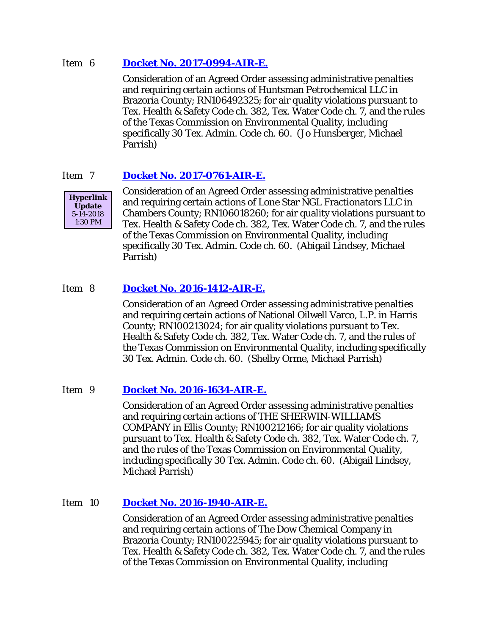### Item 6 **[Docket No. 2017-0994-AIR-E.](http://www.tceq.texas.gov/assets/public/comm_exec/agendas/comm/backup/Agendas/2018/05-23-2018/0994AIR.pdf)**

Consideration of an Agreed Order assessing administrative penalties and requiring certain actions of Huntsman Petrochemical LLC in Brazoria County; RN106492325; for air quality violations pursuant to Tex. Health & Safety Code ch. 382, Tex. Water Code ch. 7, and the rules of the Texas Commission on Environmental Quality, including specifically 30 Tex. Admin. Code ch. 60. (Jo Hunsberger, Michael Parrish)

## Item 7 **[Docket No. 2017-0761-AIR-E.](http://www.tceq.texas.gov/assets/public/comm_exec/agendas/comm/backup/Agendas/2018/05-23-2018/0761AIR.pdf)**



Consideration of an Agreed Order assessing administrative penalties and requiring certain actions of Lone Star NGL Fractionators LLC in Chambers County; RN106018260; for air quality violations pursuant to Tex. Health & Safety Code ch. 382, Tex. Water Code ch. 7, and the rules of the Texas Commission on Environmental Quality, including specifically 30 Tex. Admin. Code ch. 60. (Abigail Lindsey, Michael Parrish)

## Item 8 **[Docket No. 2016-1412-AIR-E.](http://www.tceq.texas.gov/assets/public/comm_exec/agendas/comm/backup/Agendas/2018/05-23-2018/1412AIR.pdf)**

Consideration of an Agreed Order assessing administrative penalties and requiring certain actions of National Oilwell Varco, L.P. in Harris County; RN100213024; for air quality violations pursuant to Tex. Health & Safety Code ch. 382, Tex. Water Code ch. 7, and the rules of the Texas Commission on Environmental Quality, including specifically 30 Tex. Admin. Code ch. 60. (Shelby Orme, Michael Parrish)

### Item 9 **[Docket No. 2016-1634-AIR-E.](http://www.tceq.texas.gov/assets/public/comm_exec/agendas/comm/backup/Agendas/2018/05-23-2018/1634AIR.pdf)**

Consideration of an Agreed Order assessing administrative penalties and requiring certain actions of THE SHERWIN-WILLIAMS COMPANY in Ellis County; RN100212166; for air quality violations pursuant to Tex. Health & Safety Code ch. 382, Tex. Water Code ch. 7, and the rules of the Texas Commission on Environmental Quality, including specifically 30 Tex. Admin. Code ch. 60. (Abigail Lindsey, Michael Parrish)

### Item 10 **[Docket No. 2016-1940-AIR-E.](http://www.tceq.texas.gov/assets/public/comm_exec/agendas/comm/backup/Agendas/2018/05-23-2018/1940AIR.pdf)**

Consideration of an Agreed Order assessing administrative penalties and requiring certain actions of The Dow Chemical Company in Brazoria County; RN100225945; for air quality violations pursuant to Tex. Health & Safety Code ch. 382, Tex. Water Code ch. 7, and the rules of the Texas Commission on Environmental Quality, including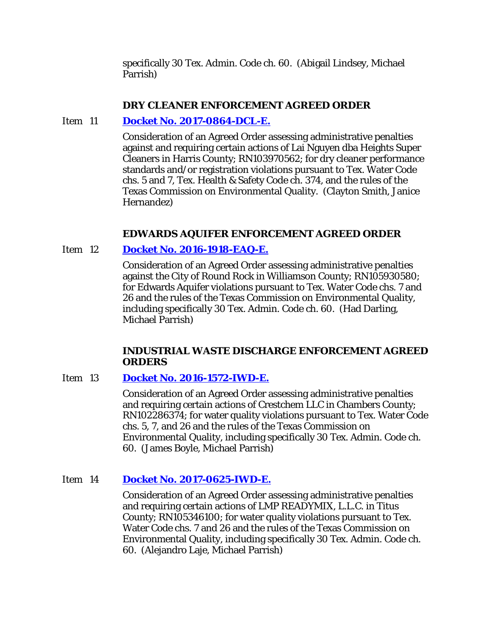specifically 30 Tex. Admin. Code ch. 60. (Abigail Lindsey, Michael Parrish)

### **DRY CLEANER ENFORCEMENT AGREED ORDER**

# Item 11 **[Docket No. 2017-0864-DCL-E.](http://www.tceq.texas.gov/assets/public/comm_exec/agendas/comm/backup/Agendas/2018/05-23-2018/0864DCL.pdf)**

Consideration of an Agreed Order assessing administrative penalties against and requiring certain actions of Lai Nguyen dba Heights Super Cleaners in Harris County; RN103970562; for dry cleaner performance standards and/or registration violations pursuant to Tex. Water Code chs. 5 and 7, Tex. Health & Safety Code ch. 374, and the rules of the Texas Commission on Environmental Quality. (Clayton Smith, Janice Hernandez)

## **EDWARDS AQUIFER ENFORCEMENT AGREED ORDER**

## Item 12 **[Docket No. 2016-1918-EAQ-E.](http://www.tceq.texas.gov/assets/public/comm_exec/agendas/comm/backup/Agendas/2018/05-23-2018/1918EAQ.pdf)**

Consideration of an Agreed Order assessing administrative penalties against the City of Round Rock in Williamson County; RN105930580; for Edwards Aquifer violations pursuant to Tex. Water Code chs. 7 and 26 and the rules of the Texas Commission on Environmental Quality, including specifically 30 Tex. Admin. Code ch. 60. (Had Darling, Michael Parrish)

### **INDUSTRIAL WASTE DISCHARGE ENFORCEMENT AGREED ORDERS**

### Item 13 **[Docket No. 2016-1572-IWD-E.](http://www.tceq.texas.gov/assets/public/comm_exec/agendas/comm/backup/Agendas/2018/05-23-2018/1572IWD.pdf)**

Consideration of an Agreed Order assessing administrative penalties and requiring certain actions of Crestchem LLC in Chambers County; RN102286374; for water quality violations pursuant to Tex. Water Code chs. 5, 7, and 26 and the rules of the Texas Commission on Environmental Quality, including specifically 30 Tex. Admin. Code ch. 60. (James Boyle, Michael Parrish)

### Item 14 **[Docket No. 2017-0625-IWD-E.](http://www.tceq.texas.gov/assets/public/comm_exec/agendas/comm/backup/Agendas/2018/05-23-2018/0625IWD.pdf)**

Consideration of an Agreed Order assessing administrative penalties and requiring certain actions of LMP READYMIX, L.L.C. in Titus County; RN105346100; for water quality violations pursuant to Tex. Water Code chs. 7 and 26 and the rules of the Texas Commission on Environmental Quality, including specifically 30 Tex. Admin. Code ch. 60. (Alejandro Laje, Michael Parrish)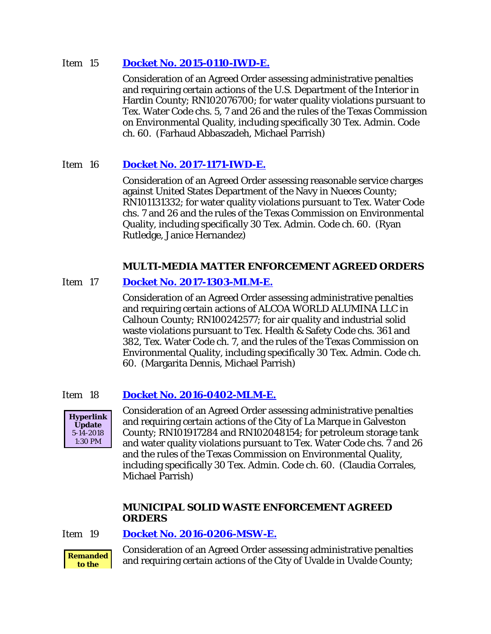### Item 15 **[Docket No. 2015-0110-IWD-E.](http://www.tceq.texas.gov/assets/public/comm_exec/agendas/comm/backup/Agendas/2018/05-23-2018/0110IWD.pdf)**

Consideration of an Agreed Order assessing administrative penalties and requiring certain actions of the U.S. Department of the Interior in Hardin County; RN102076700; for water quality violations pursuant to Tex. Water Code chs. 5, 7 and 26 and the rules of the Texas Commission on Environmental Quality, including specifically 30 Tex. Admin. Code ch. 60. (Farhaud Abbaszadeh, Michael Parrish)

# Item 16 **[Docket No. 2017-1171-IWD-E.](http://www.tceq.texas.gov/assets/public/comm_exec/agendas/comm/backup/Agendas/2018/05-23-2018/1171IWD.pdf)**

Consideration of an Agreed Order assessing reasonable service charges against United States Department of the Navy in Nueces County; RN101131332; for water quality violations pursuant to Tex. Water Code chs. 7 and 26 and the rules of the Texas Commission on Environmental Quality, including specifically 30 Tex. Admin. Code ch. 60. (Ryan Rutledge, Janice Hernandez)

# **MULTI-MEDIA MATTER ENFORCEMENT AGREED ORDERS**

# Item 17 **[Docket No. 2017-1303-MLM-E.](http://www.tceq.texas.gov/assets/public/comm_exec/agendas/comm/backup/Agendas/2018/05-23-2018/1303MLM.pdf)**

Consideration of an Agreed Order assessing administrative penalties and requiring certain actions of ALCOA WORLD ALUMINA LLC in Calhoun County; RN100242577; for air quality and industrial solid waste violations pursuant to Tex. Health & Safety Code chs. 361 and 382, Tex. Water Code ch. 7, and the rules of the Texas Commission on Environmental Quality, including specifically 30 Tex. Admin. Code ch. 60. (Margarita Dennis, Michael Parrish)

# Item 18 **[Docket No. 2016-0402-MLM-E.](http://www.tceq.texas.gov/assets/public/comm_exec/agendas/comm/backup/Agendas/2018/05-23-2018/0402MLM.pdf)**



Consideration of an Agreed Order assessing administrative penalties and requiring certain actions of the City of La Marque in Galveston County; RN101917284 and RN102048154; for petroleum storage tank and water quality violations pursuant to Tex. Water Code chs. 7 and 26 and the rules of the Texas Commission on Environmental Quality, including specifically 30 Tex. Admin. Code ch. 60. (Claudia Corrales, Michael Parrish)

## **MUNICIPAL SOLID WASTE ENFORCEMENT AGREED ORDERS**

Item 19 **[Docket No. 2016-0206-MSW-E.](http://www.tceq.texas.gov/assets/public/comm_exec/agendas/comm/backup/Agendas/2018/05-23-2018/0206MSW.pdf)**



Consideration of an Agreed Order assessing administrative penalties and requiring certain actions of the City of Uvalde in Uvalde County;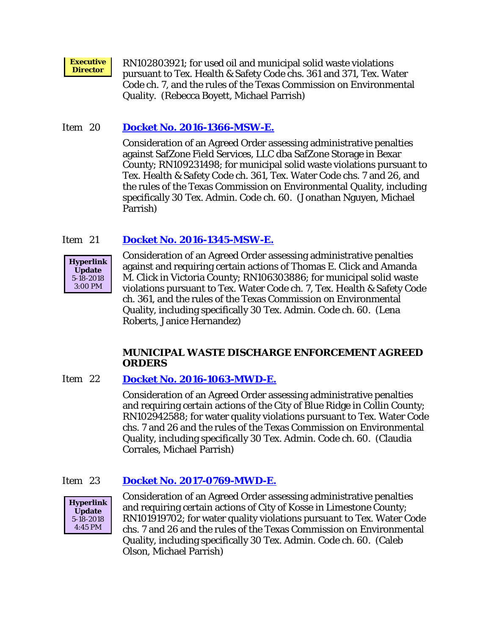**Executive Executive** RN102803921; for used oil and municipal solid waste violations<br>**Director** RN102803921; for used oil and municipal solid waste violations pursuant to Tex. Health & Safety Code chs. 361 and 371, Tex. Water Code ch. 7, and the rules of the Texas Commission on Environmental Quality. (Rebecca Boyett, Michael Parrish)

## Item 20 **[Docket No. 2016-1366-MSW-E.](http://www.tceq.texas.gov/assets/public/comm_exec/agendas/comm/backup/Agendas/2018/05-23-2018/1366MSW.pdf)**

Consideration of an Agreed Order assessing administrative penalties against SafZone Field Services, LLC dba SafZone Storage in Bexar County; RN109231498; for municipal solid waste violations pursuant to Tex. Health & Safety Code ch. 361, Tex. Water Code chs. 7 and 26, and the rules of the Texas Commission on Environmental Quality, including specifically 30 Tex. Admin. Code ch. 60. (Jonathan Nguyen, Michael Parrish)

# Item 21 **[Docket No. 2016-1345-MSW-E.](http://www.tceq.texas.gov/assets/public/comm_exec/agendas/comm/backup/Agendas/2018/05-23-2018/1345MSW.pdf)**



Consideration of an Agreed Order assessing administrative penalties against and requiring certain actions of Thomas E. Click and Amanda M. Click in Victoria County; RN106303886; for municipal solid waste violations pursuant to Tex. Water Code ch. 7, Tex. Health & Safety Code ch. 361, and the rules of the Texas Commission on Environmental Quality, including specifically 30 Tex. Admin. Code ch. 60. (Lena Roberts, Janice Hernandez)

### **MUNICIPAL WASTE DISCHARGE ENFORCEMENT AGREED ORDERS**

### Item 22 **[Docket No. 2016-1063-MWD-E.](http://www.tceq.texas.gov/assets/public/comm_exec/agendas/comm/backup/Agendas/2018/05-23-2018/1063MWD.pdf)**

Consideration of an Agreed Order assessing administrative penalties and requiring certain actions of the City of Blue Ridge in Collin County; RN102942588; for water quality violations pursuant to Tex. Water Code chs. 7 and 26 and the rules of the Texas Commission on Environmental Quality, including specifically 30 Tex. Admin. Code ch. 60. (Claudia Corrales, Michael Parrish)

### Item 23 **[Docket No. 2017-0769-MWD-E.](http://www.tceq.texas.gov/assets/public/comm_exec/agendas/comm/backup/Agendas/2018/05-23-2018/0769MWD.pdf)**



Consideration of an Agreed Order assessing administrative penalties and requiring certain actions of City of Kosse in Limestone County; RN101919702; for water quality violations pursuant to Tex. Water Code chs. 7 and 26 and the rules of the Texas Commission on Environmental Quality, including specifically 30 Tex. Admin. Code ch. 60. (Caleb Olson, Michael Parrish)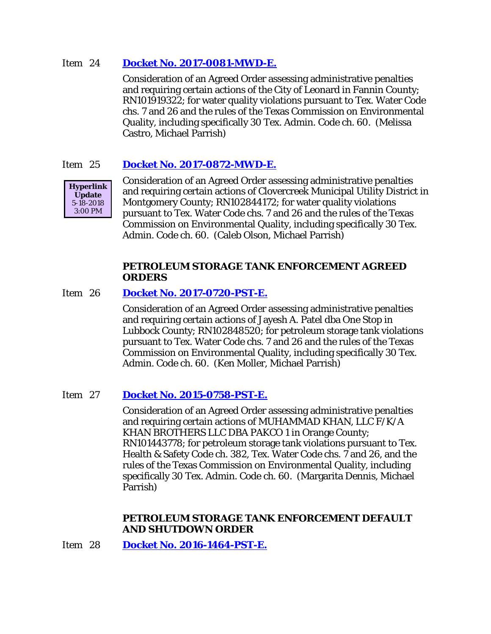### Item 24 **[Docket No. 2017-0081-MWD-E.](http://www.tceq.texas.gov/assets/public/comm_exec/agendas/comm/backup/Agendas/2018/05-23-2018/0081MWD.pdf)**

Consideration of an Agreed Order assessing administrative penalties and requiring certain actions of the City of Leonard in Fannin County; RN101919322; for water quality violations pursuant to Tex. Water Code chs. 7 and 26 and the rules of the Texas Commission on Environmental Quality, including specifically 30 Tex. Admin. Code ch. 60. (Melissa Castro, Michael Parrish)

## Item 25 **[Docket No. 2017-0872-MWD-E.](http://www.tceq.texas.gov/assets/public/comm_exec/agendas/comm/backup/Agendas/2018/05-23-2018/0872MWD.pdf)**



Consideration of an Agreed Order assessing administrative penalties and requiring certain actions of Clovercreek Municipal Utility District in Montgomery County; RN102844172; for water quality violations pursuant to Tex. Water Code chs. 7 and 26 and the rules of the Texas Commission on Environmental Quality, including specifically 30 Tex. Admin. Code ch. 60. (Caleb Olson, Michael Parrish)

### **PETROLEUM STORAGE TANK ENFORCEMENT AGREED ORDERS**

### Item 26 **[Docket No. 2017-0720-PST-E.](http://www.tceq.texas.gov/assets/public/comm_exec/agendas/comm/backup/Agendas/2018/05-23-2018/0720PST.pdf)**

Consideration of an Agreed Order assessing administrative penalties and requiring certain actions of Jayesh A. Patel dba One Stop in Lubbock County; RN102848520; for petroleum storage tank violations pursuant to Tex. Water Code chs. 7 and 26 and the rules of the Texas Commission on Environmental Quality, including specifically 30 Tex. Admin. Code ch. 60. (Ken Moller, Michael Parrish)

### Item 27 **[Docket No. 2015-0758-PST-E.](http://www.tceq.texas.gov/assets/public/comm_exec/agendas/comm/backup/Agendas/2018/05-23-2018/0758PST.pdf)**

Consideration of an Agreed Order assessing administrative penalties and requiring certain actions of MUHAMMAD KHAN, LLC F/K/A KHAN BROTHERS LLC DBA PAKCO 1 in Orange County; RN101443778; for petroleum storage tank violations pursuant to Tex. Health & Safety Code ch. 382, Tex. Water Code chs. 7 and 26, and the rules of the Texas Commission on Environmental Quality, including specifically 30 Tex. Admin. Code ch. 60. (Margarita Dennis, Michael Parrish)

### **PETROLEUM STORAGE TANK ENFORCEMENT DEFAULT AND SHUTDOWN ORDER**

Item 28 **[Docket No. 2016-1464-PST-E.](http://www.tceq.texas.gov/assets/public/comm_exec/agendas/comm/backup/Agendas/2018/05-23-2018/1464PST.pdf)**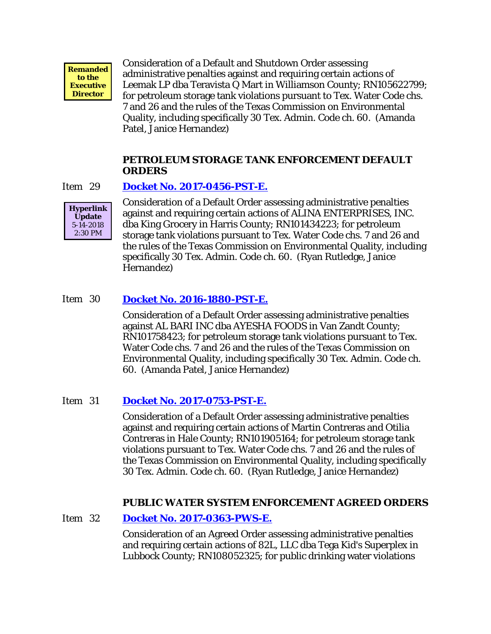

Consideration of a Default and Shutdown Order assessing administrative penalties against and requiring certain actions of Leemak LP dba Teravista Q Mart in Williamson County; RN105622799; for petroleum storage tank violations pursuant to Tex. Water Code chs. 7 and 26 and the rules of the Texas Commission on Environmental Quality, including specifically 30 Tex. Admin. Code ch. 60. (Amanda Patel, Janice Hernandez)

#### **PETROLEUM STORAGE TANK ENFORCEMENT DEFAULT ORDERS**

#### Item 29 **[Docket No. 2017-0456-PST-E.](http://www.tceq.texas.gov/assets/public/comm_exec/agendas/comm/backup/Agendas/2018/05-23-2018/0456PST.pdf)**



Consideration of a Default Order assessing administrative penalties against and requiring certain actions of ALINA ENTERPRISES, INC. dba King Grocery in Harris County; RN101434223; for petroleum storage tank violations pursuant to Tex. Water Code chs. 7 and 26 and the rules of the Texas Commission on Environmental Quality, including specifically 30 Tex. Admin. Code ch. 60. (Ryan Rutledge, Janice Hernandez)

## Item 30 **[Docket No. 2016-1880-PST-E.](http://www.tceq.texas.gov/assets/public/comm_exec/agendas/comm/backup/Agendas/2018/05-23-2018/1880PST.pdf)**

Consideration of a Default Order assessing administrative penalties against AL BARI INC dba AYESHA FOODS in Van Zandt County; RN101758423; for petroleum storage tank violations pursuant to Tex. Water Code chs. 7 and 26 and the rules of the Texas Commission on Environmental Quality, including specifically 30 Tex. Admin. Code ch. 60. (Amanda Patel, Janice Hernandez)

### Item 31 **[Docket No. 2017-0753-PST-E.](http://www.tceq.texas.gov/assets/public/comm_exec/agendas/comm/backup/Agendas/2018/05-23-2018/0753PST.pdf)**

Consideration of a Default Order assessing administrative penalties against and requiring certain actions of Martin Contreras and Otilia Contreras in Hale County; RN101905164; for petroleum storage tank violations pursuant to Tex. Water Code chs. 7 and 26 and the rules of the Texas Commission on Environmental Quality, including specifically 30 Tex. Admin. Code ch. 60. (Ryan Rutledge, Janice Hernandez)

### **PUBLIC WATER SYSTEM ENFORCEMENT AGREED ORDERS**

Item 32 **[Docket No. 2017-0363-PWS-E.](http://www.tceq.texas.gov/assets/public/comm_exec/agendas/comm/backup/Agendas/2018/05-23-2018/0363PWS.pdf)**

Consideration of an Agreed Order assessing administrative penalties and requiring certain actions of 82L, LLC dba Tega Kid's Superplex in Lubbock County; RN108052325; for public drinking water violations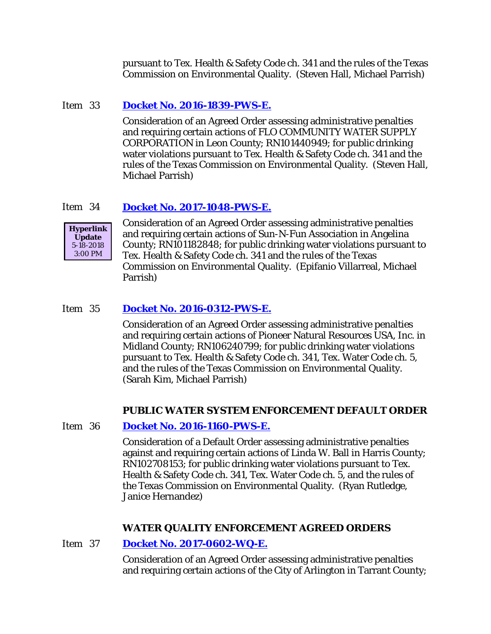pursuant to Tex. Health & Safety Code ch. 341 and the rules of the Texas Commission on Environmental Quality. (Steven Hall, Michael Parrish)

### Item 33 **[Docket No. 2016-1839-PWS-E.](http://www.tceq.texas.gov/assets/public/comm_exec/agendas/comm/backup/Agendas/2018/05-23-2018/1839PWS.pdf)**

Consideration of an Agreed Order assessing administrative penalties and requiring certain actions of FLO COMMUNITY WATER SUPPLY CORPORATION in Leon County; RN101440949; for public drinking water violations pursuant to Tex. Health & Safety Code ch. 341 and the rules of the Texas Commission on Environmental Quality. (Steven Hall, Michael Parrish)

## Item 34 **[Docket No. 2017-1048-PWS-E.](http://www.tceq.texas.gov/assets/public/comm_exec/agendas/comm/backup/Agendas/2018/05-23-2018/1048PWS.pdf)**



Consideration of an Agreed Order assessing administrative penalties and requiring certain actions of Sun-N-Fun Association in Angelina County; RN101182848; for public drinking water violations pursuant to Tex. Health & Safety Code ch. 341 and the rules of the Texas Commission on Environmental Quality. (Epifanio Villarreal, Michael Parrish)

## Item 35 **[Docket No. 2016-0312-PWS-E.](http://www.tceq.texas.gov/assets/public/comm_exec/agendas/comm/backup/Agendas/2018/05-23-2018/0312PWS.pdf)**

Consideration of an Agreed Order assessing administrative penalties and requiring certain actions of Pioneer Natural Resources USA, Inc. in Midland County; RN106240799; for public drinking water violations pursuant to Tex. Health & Safety Code ch. 341, Tex. Water Code ch. 5, and the rules of the Texas Commission on Environmental Quality. (Sarah Kim, Michael Parrish)

### **PUBLIC WATER SYSTEM ENFORCEMENT DEFAULT ORDER**

### Item 36 **[Docket No. 2016-1160-PWS-E.](http://www.tceq.texas.gov/assets/public/comm_exec/agendas/comm/backup/Agendas/2018/05-23-2018/1160PWS.pdf)**

Consideration of a Default Order assessing administrative penalties against and requiring certain actions of Linda W. Ball in Harris County; RN102708153; for public drinking water violations pursuant to Tex. Health & Safety Code ch. 341, Tex. Water Code ch. 5, and the rules of the Texas Commission on Environmental Quality. (Ryan Rutledge, Janice Hernandez)

### **WATER QUALITY ENFORCEMENT AGREED ORDERS**

### Item 37 **Docket [No. 2017-0602-WQ-E.](http://www.tceq.texas.gov/assets/public/comm_exec/agendas/comm/backup/Agendas/2018/05-23-2018/0602WQ.pdf)**

Consideration of an Agreed Order assessing administrative penalties and requiring certain actions of the City of Arlington in Tarrant County;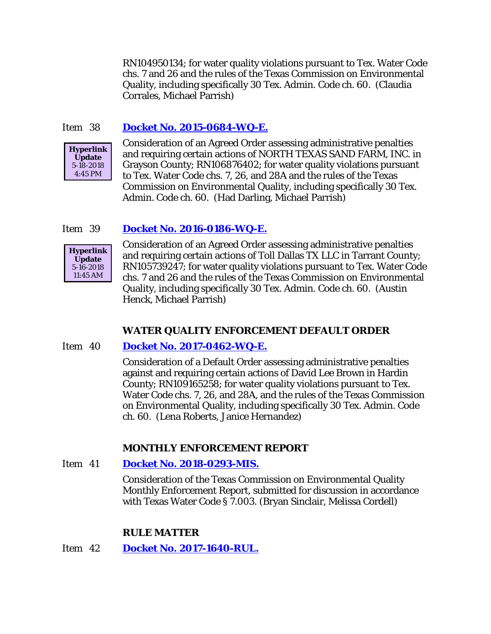RN104950134; for water quality violations pursuant to Tex. Water Code chs. 7 and 26 and the rules of the Texas Commission on Environmental Quality, including specifically 30 Tex. Admin. Code ch. 60. (Claudia Corrales, Michael Parrish)

## Item 38 **[Docket No. 2015-0684-WQ-E.](http://www.tceq.texas.gov/assets/public/comm_exec/agendas/comm/backup/Agendas/2018/05-23-2018/0684WQ.pdf)**



Consideration of an Agreed Order assessing administrative penalties and requiring certain actions of NORTH TEXAS SAND FARM, INC. in Grayson County; RN106876402; for water quality violations pursuant to Tex. Water Code chs. 7, 26, and 28A and the rules of the Texas Commission on Environmental Quality, including specifically 30 Tex. Admin. Code ch. 60. (Had Darling, Michael Parrish)

### Item 39 **[Docket No. 2016-0186-WQ-E.](http://www.tceq.texas.gov/assets/public/comm_exec/agendas/comm/backup/Agendas/2018/05-23-2018/0186WQ.pdf)**



Consideration of an Agreed Order assessing administrative penalties and requiring certain actions of Toll Dallas TX LLC in Tarrant County; RN105739247; for water quality violations pursuant to Tex. Water Code chs. 7 and 26 and the rules of the Texas Commission on Environmental Quality, including specifically 30 Tex. Admin. Code ch. 60. (Austin Henck, Michael Parrish)

### **WATER QUALITY ENFORCEMENT DEFAULT ORDER**

### Item 40 **[Docket No. 2017-0462-WQ-E.](http://www.tceq.texas.gov/assets/public/comm_exec/agendas/comm/backup/Agendas/2018/05-23-2018/0462WQ.pdf)**

Consideration of a Default Order assessing administrative penalties against and requiring certain actions of David Lee Brown in Hardin County; RN109165258; for water quality violations pursuant to Tex. Water Code chs. 7, 26, and 28A, and the rules of the Texas Commission on Environmental Quality, including specifically 30 Tex. Admin. Code ch. 60. (Lena Roberts, Janice Hernandez)

#### **MONTHLY ENFORCEMENT REPORT**

#### Item 41 **[Docket No. 2018-0293-MIS.](http://www.tceq.texas.gov/assets/public/comm_exec/agendas/comm/backup/Agendas/2018/05-23-2018/0293MIS.pdf)**

Consideration of the Texas Commission on Environmental Quality Monthly Enforcement Report, submitted for discussion in accordance with Texas Water Code § 7.003. (Bryan Sinclair, Melissa Cordell)

#### **RULE MATTER**

Item 42 **[Docket No. 2017-1640-RUL.](http://www.tceq.texas.gov/assets/public/comm_exec/agendas/comm/backup/Agendas/2018/05-23-2018/1640RUL.pdf)**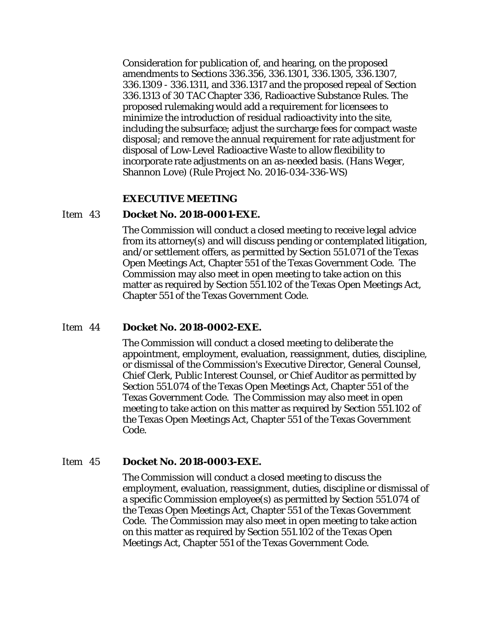Consideration for publication of, and hearing, on the proposed amendments to Sections 336.356, 336.1301, 336.1305, 336.1307, 336.1309 - 336.1311, and 336.1317 and the proposed repeal of Section 336.1313 of 30 TAC Chapter 336, Radioactive Substance Rules. The proposed rulemaking would add a requirement for licensees to minimize the introduction of residual radioactivity into the site, including the subsurface; adjust the surcharge fees for compact waste disposal; and remove the annual requirement for rate adjustment for disposal of Low-Level Radioactive Waste to allow flexibility to incorporate rate adjustments on an as-needed basis. (Hans Weger, Shannon Love) (Rule Project No. 2016-034-336-WS)

#### **EXECUTIVE MEETING**

#### Item 43 **Docket No. 2018-0001-EXE.**

The Commission will conduct a closed meeting to receive legal advice from its attorney(s) and will discuss pending or contemplated litigation, and/or settlement offers, as permitted by Section 551.071 of the Texas Open Meetings Act, Chapter 551 of the Texas Government Code. The Commission may also meet in open meeting to take action on this matter as required by Section 551.102 of the Texas Open Meetings Act, Chapter 551 of the Texas Government Code.

#### Item 44 **Docket No. 2018-0002-EXE.**

The Commission will conduct a closed meeting to deliberate the appointment, employment, evaluation, reassignment, duties, discipline, or dismissal of the Commission's Executive Director, General Counsel, Chief Clerk, Public Interest Counsel, or Chief Auditor as permitted by Section 551.074 of the Texas Open Meetings Act, Chapter 551 of the Texas Government Code. The Commission may also meet in open meeting to take action on this matter as required by Section 551.102 of the Texas Open Meetings Act, Chapter 551 of the Texas Government Code.

#### Item 45 **Docket No. 2018-0003-EXE.**

The Commission will conduct a closed meeting to discuss the employment, evaluation, reassignment, duties, discipline or dismissal of a specific Commission employee(s) as permitted by Section 551.074 of the Texas Open Meetings Act, Chapter 551 of the Texas Government Code. The Commission may also meet in open meeting to take action on this matter as required by Section 551.102 of the Texas Open Meetings Act, Chapter 551 of the Texas Government Code.